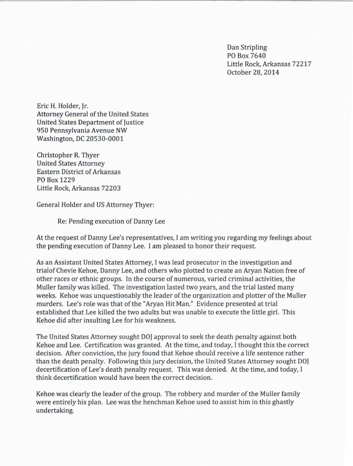Dan Stripling PO Box 7640 Little Rock, Arkansas 72217 October 28, 2014

Eric H. Holder, Jr. Attorney General of the United States United States Department of Justice 950 Pennsylvania Avenue NW Washington, DC 20530-0001

Christopher R. Thyer United States Attorney Eastern District of Arkansas PO Box 1229 Little Rock, Arkansas 72203

General Holder and US Attorney Thyer:

Re: Pending execution of Danny Lee

At the request of Danny Lee's representatives, I am writing you regarding my feelings about the pending execution of Danny Lee. I am pleased to honor their request.

As an Assistant United States Attorney, I was lead prosecutor in the investigation and trial of Chevie Kehoe, Danny Lee, and others who plotted to create an Aryan Nation free of other races or ethnic groups. In the course of numerous, varied criminal activities, the Muller family was killed. The investigation lasted two years, and the trial lasted many weeks. Kehoe was unquestionably the leader of the organization and plotter of the Muller murders. Lee's role was that of the "Aryan Hit Man." Evidence presented at trial established that Lee killed the two adults but was unable to execute the little girl. This Kehoe did after insulting Lee for his weakness.

The United States Attorney sought DOJ approval to seek the death penalty against both Kehoe and Lee. Certification was granted. At the time, and today, I thought this the correct decision. After conviction, the jury found that Kehoe should receive a life sentence rather than the death penalty. Following this jury decision, the United States Attorney sought DOJ decertification of Lee's death penalty request. This was denied. At the time, and today, I think decertification would have been the correct decision.

Kehoe was clearly the leader of the group. The robbery and murder of the Muller family were entirely his plan. Lee was the henchman Kehoe used to assist him in this ghastly undertaking.